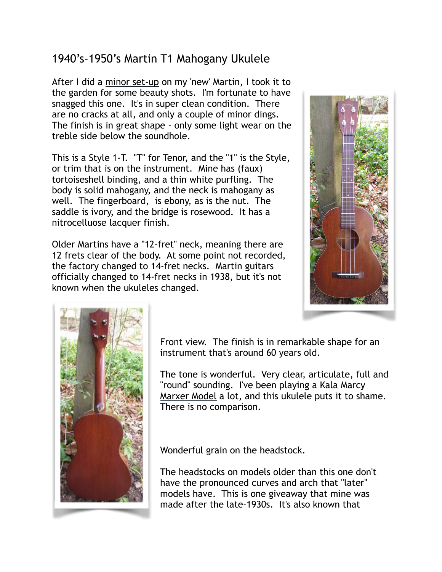## 1940's-1950's Martin T1 Mahogany Ukulele

After I did a [minor set-up](http://crawlsbackward.blogspot.com/2012/01/minor-set-up-vintage-martin-tenor.html) on my 'new' Martin, I took it to the garden for some beauty shots. I'm fortunate to have snagged this one. It's in super clean condition. There are no cracks at all, and only a couple of minor dings. The finish is in great shape - only some light wear on the treble side below the soundhole.

This is a Style 1-T. "T" for Tenor, and the "1" is the Style, or trim that is on the instrument. Mine has (faux) tortoiseshell binding, and a thin white purfling. The body is solid mahogany, and the neck is mahogany as well. The fingerboard, is ebony, as is the nut. The saddle is ivory, and the bridge is rosewood. It has a nitrocelluose lacquer finish.

Older Martins have a "12-fret" neck, meaning there are 12 frets clear of the body. At some point not recorded, the factory changed to 14-fret necks. Martin guitars officially changed to 14-fret necks in 1938, but it's not known when the ukuleles changed.





Front view. The finish is in remarkable shape for an instrument that's around 60 years old.

The tone is wonderful. Very clear, articulate, full and ["round" sounding. I've been playing a Kala Marcy](http://crawlsbackward.blogspot.com/2011/06/marcy-marxer-ukulele-vists-garden.html)  Marxer Model a lot, and this ukulele puts it to shame. There is no comparison.

Wonderful grain on the headstock.

The headstocks on models older than this one don't have the pronounced curves and arch that "later" models have. This is one giveaway that mine was made after the late-1930s. It's also known that